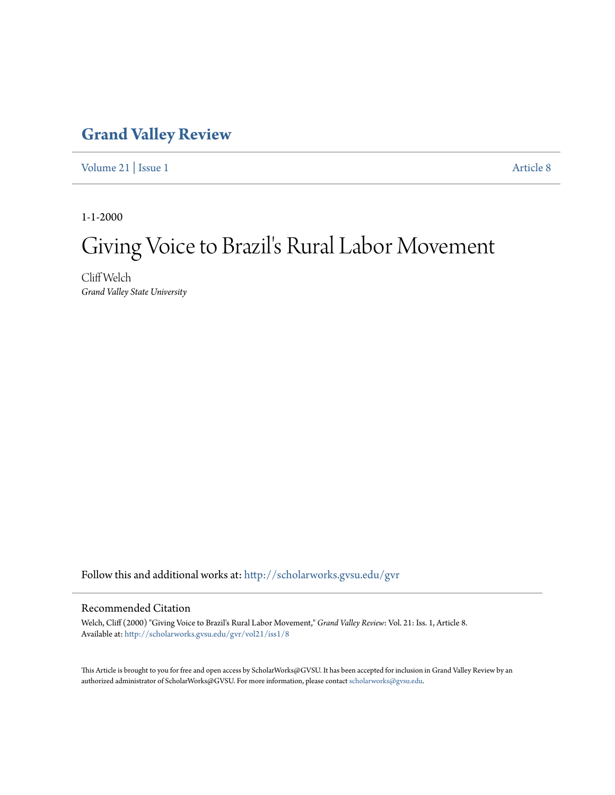### **[Grand Valley Review](http://scholarworks.gvsu.edu/gvr?utm_source=scholarworks.gvsu.edu%2Fgvr%2Fvol21%2Fiss1%2F8&utm_medium=PDF&utm_campaign=PDFCoverPages)**

[Volume 21](http://scholarworks.gvsu.edu/gvr/vol21?utm_source=scholarworks.gvsu.edu%2Fgvr%2Fvol21%2Fiss1%2F8&utm_medium=PDF&utm_campaign=PDFCoverPages) | [Issue 1](http://scholarworks.gvsu.edu/gvr/vol21/iss1?utm_source=scholarworks.gvsu.edu%2Fgvr%2Fvol21%2Fiss1%2F8&utm_medium=PDF&utm_campaign=PDFCoverPages) [Article 8](http://scholarworks.gvsu.edu/gvr/vol21/iss1/8?utm_source=scholarworks.gvsu.edu%2Fgvr%2Fvol21%2Fiss1%2F8&utm_medium=PDF&utm_campaign=PDFCoverPages)

1-1-2000

## Giving Voice to Brazil's Rural Labor Movement

Cliff Welch *Grand Valley State University*

Follow this and additional works at: [http://scholarworks.gvsu.edu/gvr](http://scholarworks.gvsu.edu/gvr?utm_source=scholarworks.gvsu.edu%2Fgvr%2Fvol21%2Fiss1%2F8&utm_medium=PDF&utm_campaign=PDFCoverPages)

### Recommended Citation

Welch, Cliff (2000) "Giving Voice to Brazil's Rural Labor Movement," *Grand Valley Review*: Vol. 21: Iss. 1, Article 8. Available at: [http://scholarworks.gvsu.edu/gvr/vol21/iss1/8](http://scholarworks.gvsu.edu/gvr/vol21/iss1/8?utm_source=scholarworks.gvsu.edu%2Fgvr%2Fvol21%2Fiss1%2F8&utm_medium=PDF&utm_campaign=PDFCoverPages)

This Article is brought to you for free and open access by ScholarWorks@GVSU. It has been accepted for inclusion in Grand Valley Review by an authorized administrator of ScholarWorks@GVSU. For more information, please contact [scholarworks@gvsu.edu.](mailto:scholarworks@gvsu.edu)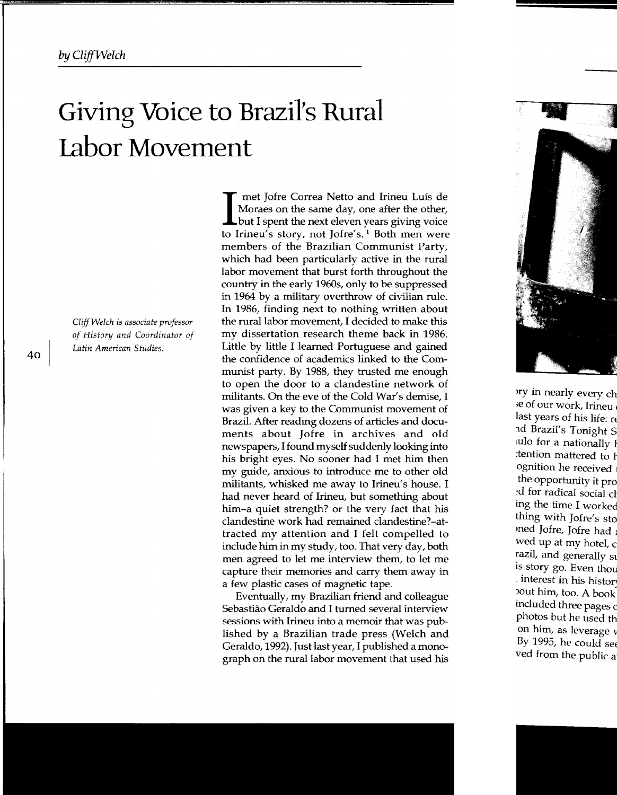# **Giving Voice to Brazil's Rural Labor Movement**

*Cliff Welch is associate professor of History and Coordinator of Latin American Studies.* 

I met Jofre Correa Netto and Irineu Luís de<br>Moraes on the same day, one after the other,<br>but I spent the next eleven years giving voice<br>to Finance of pays and Islands and weap was Moraes on the same day, one after the other, to Irineu's story, not Jofre's.<sup>1</sup> Both men were members of the Brazilian Communist Party, which had been particularly active in the rural labor movement that burst forth throughout the country in the early 1960s, only to be suppressed in 1964 by a military overthrow of civilian rule. In 1986, finding next to nothing written about the rural labor movement, I decided to make this my dissertation research theme back in 1986. Little by little I learned Portuguese and gained the confidence of academics linked to the Communist party. By 1988, they trusted me enough to open the door to a clandestine network of militants. On the eve of the Cold War's demise, I was given a key to the Communist movement of Brazil. After reading dozens of articles and documents about Jofre in archives and old newspapers, I found myself suddenly looking into his bright eyes. No sooner had I met him then my guide, anxious to introduce me to other old militants, whisked me away to Irineu's house. I had never heard of Irineu, but something about him-a quiet strength? or the very fact that his clandestine work had remained clandestine?-attracted my attention and I felt compelled to include him in my study, too. That very day, both men agreed to let me interview them, to let me capture their memories and carry them away in a few plastic cases of magnetic tape.

Eventually, my Brazilian friend and colleague Sebastiao Geraldo and I turned several interview sessions with Irineu into a memoir that was published by a Brazilian trade press (Welch and Geraldo, 1992). Just last year, I published a monograph on the rural labor movement that used his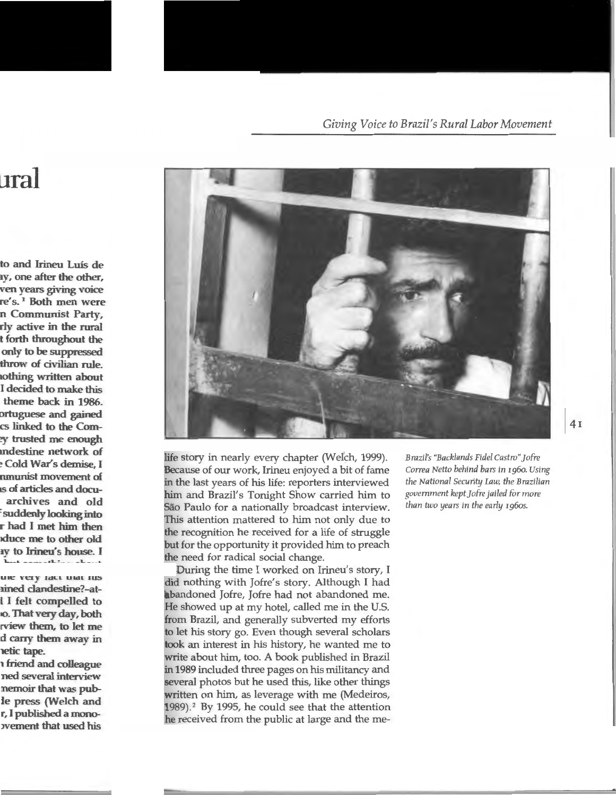

life story in nearly every chapter (Welch, 1999). Because of our work, Irineu enjoyed a bit of fame in the last years of his life: reporters interviewed him and Brazil's Tonight Show carried him to São Paulo for a nationally broadcast interview. This attention mattered to him not only due to the recognition he received for a life of struggle but for the opportunity it provided him to preach the need for radical social change.

During the time I worked on Irineu's story, I did nothing with Jofre's story. Although I had abandoned Jofre, Jofre had not abandoned me. He showed up at my hotel, called me in the U.S. from Brazil, and generally subverted my efforts to let his story go. Even though several scholars took an interest in his history, he wanted me to write about him, too. A book published in Brazil in 1989 included three pages on his militancy and several photos but he used this, like other things written on him, as leverage with me (Medeiros,  $1989$ .<sup>2</sup> By 1995, he could see that the attention he received from the public at large and the me*Brazil's "Backlands Fidel Castro"]ofre Correa Netto behind bars in* 1960. *Using the National Security Law, the Brazilian government kept]ofre jailed for more than two years in the early 196os.*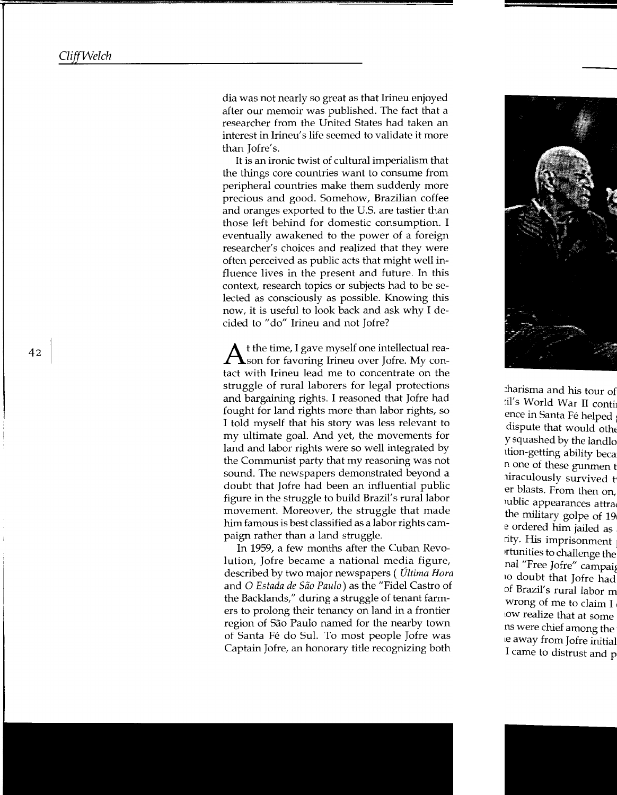dia was not nearly so great as that Irineu enjoyed after our memoir was published. The fact that a researcher from the United States had taken an interest in Irineu's life seemed to validate it more than Jofre's.

It is an ironic twist of cultural imperialism that the things core countries want to consume from peripheral countries make them suddenly more precious and good. Somehow, Brazilian coffee and oranges exported to the U.S. are tastier than those left behind for domestic consumption. I eventually awakened to the power of a foreign researcher's choices and realized that they were often perceived as public acts that might well influence lives in the present and future. In this context, research topics or subjects had to be selected as consciously as possible. Knowing this now, it is useful to look back and ask why I decided to "do" Irineu and not Jofre?

 $A$ t the time, I gave myself one intellectual rea-<br> $\Lambda$ son for favoring Irineu over Jofre. My contact with Irineu lead me to concentrate on the struggle of rural laborers for legal protections and bargaining rights. I reasoned that Jofre had fought for land rights more than labor rights, so I told myself that his story was less relevant to my ultimate goal. And yet, the movements for land and labor rights were so well integrated by the Communist party that my reasoning was not sound. The newspapers demonstrated beyond a doubt that Jofre had been an influential public figure in the struggle to build Brazil's rural labor movement. Moreover, the struggle that made him famous is best classified as a labor rights campaign rather than a land struggle.

In 1959, a few months after the Cuban Revolution, Jofre became a national media figure, described by two major newspapers ( *Ultima Hora*  and 0 *Estada de Siio Paulo)* as the "Fidel Castro of the Backlands," during a struggle of tenant farmers to prolong their tenancy on land in a frontier region of Sao Paulo named for the nearby town of Santa Fé do Sul. To most people Jofre was Captain Jofre, an honorary title recognizing both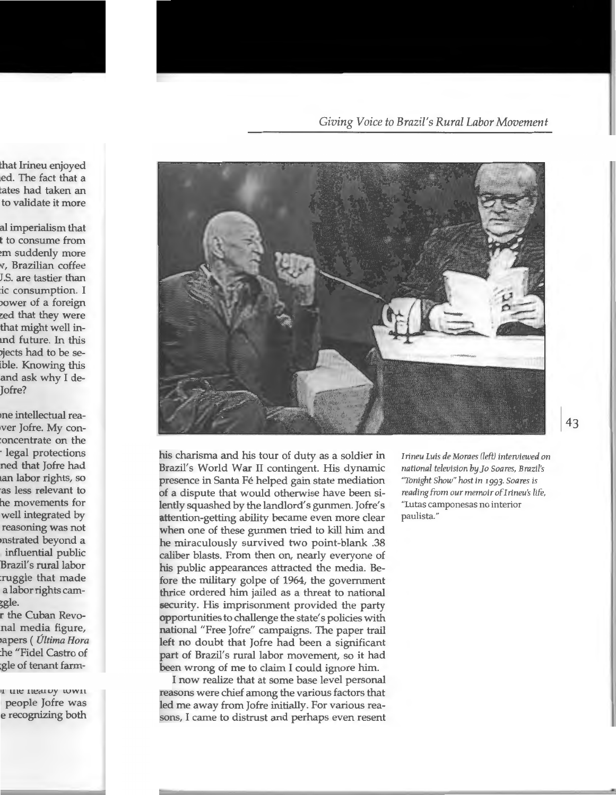*Giving Voice to Brazil's Rural Labor Movement* 



his charisma and his tour of duty as a soldier in Brazil's World War II contingent. His dynamic presence in Santa Fé helped gain state mediation of a dispute that would otherwise have been silently squashed by the landlord's gunmen. Jofre's attention-getting ability became even more clear when one of these gunmen tried to kill him and he miraculously survived two point-blank .38 caliber blasts. From then on, nearly everyone of his public appearances attracted the media. Before the military golpe of 1964, the government thrice ordered him jailed as a threat to national security. His imprisonment provided the party opportunities to challenge the state's policies with national "Free Jofre" campaigns. The paper trail left no doubt that Jofre had been a significant part of Brazil's rural labor movement, so it had been wrong of me to claim I could ignore him.

I now realize that at some base level personal reasons were chief among the various factors that led me away from Jofre initially. For various reasons, I came to distrust and perhaps even resent *Irineu Luis de Moraes neft) interviewed on national television* by *]o Soares, Brazil's "Tonight Show" host in '993· Soares is reading from our memoirofirineu's li fe,*  "Lutas camponesas no interior paulista."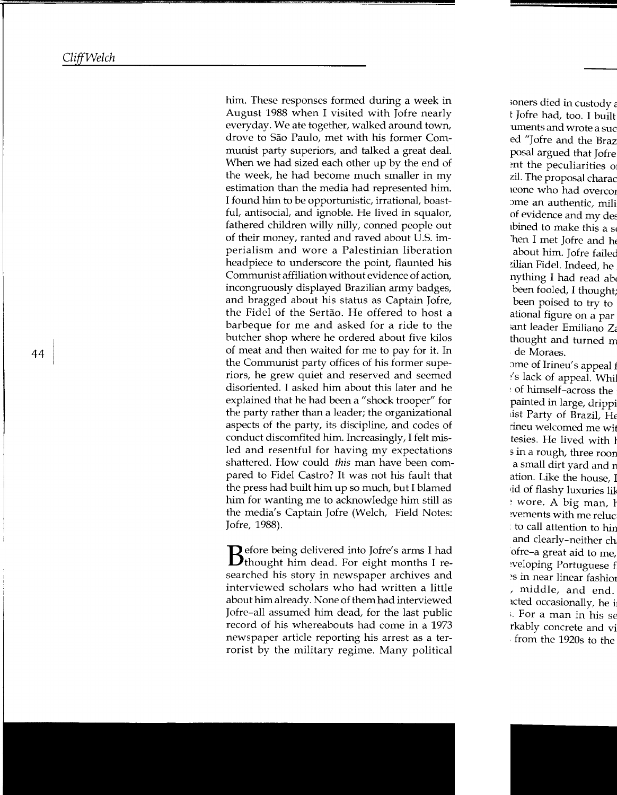him. These responses formed during a week in August 1988 when I visited with Jofre nearly everyday. We ate together, walked around town, drove to Sao Paulo, met with his former Communist party superiors, and talked a great deal. When we had sized each other up by the end of the week, he had become much smaller in my estimation than the media had represented him. I found him to be opportunistic, irrational, boastful, antisocial, and ignoble. He lived in squalor, fathered children willy nilly, conned people out of their money, ranted and raved about U.S. imperialism and wore a Palestinian liberation headpiece to underscore the point, flaunted his Communist affiliation without evidence of action, incongruously displayed Brazilian army badges, and bragged about his status as Captain Jofre, the Fidel of the Sertao. He offered to host a barbeque for me and asked for a ride to the butcher shop where he ordered about five kilos of meat and then waited for me to pay for it. In the Communist party offices of his former superiors, he grew quiet and reserved and seemed disoriented. I asked him about this later and he explained that he had been a "shock trooper" for the party rather than a leader; the organizational aspects of the party, its discipline, and codes of conduct discomfited him. Increasingly, I felt misled and resentful for having my expectations shattered. How could *this* man have been compared to Fidel Castro? It was not his fault that the press had built him up so much, but I blamed him for wanting me to acknowledge him still as the media's Captain Jofre (Welch, Field Notes:

Jofre, 1988).<br>**B**efore being delivered into Jofre's arms I had **B**thought him dead. For eight months I researched his story in newspaper archives and interviewed scholars who had written a little about him already. None of them had interviewed Jofre-all assumed him dead, for the last public record of his whereabouts had come in a 1973 newspaper article reporting his arrest as a terrorist by the military regime. Many political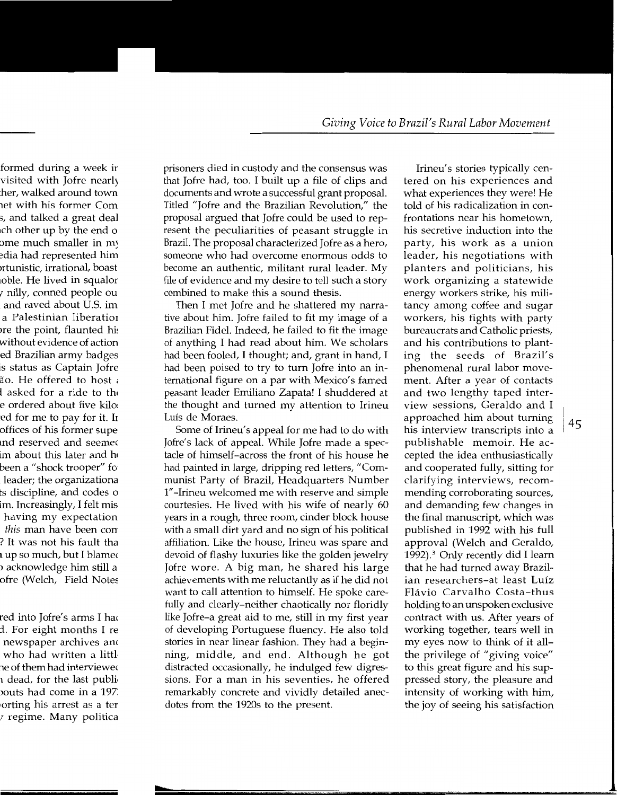prisoners died in custody and the consensus was that Jofre had, too. I built up a file of clips and documents and wrote a successful grant proposal. Titled "Jofre and the Brazilian Revolution," the proposal argued that Jofre could be used to represent the peculiarities of peasant struggle in Brazil. The proposal characterized Jofre as a hero, someone who had overcome enormous odds to become an authentic, militant rural leader. My file of evidence and my desire to tell such a story combined to make this a sound thesis.

Then I met Jofre and he shattered my narrative about him. Jofre failed to fit my image of a Brazilian Fidel. Indeed, he failed to fit the image of anything I had read about him. We scholars had been fooled, I thought; and, grant in hand, I had been poised to try to turn Jofre into an international figure on a par with Mexico's famed peasant leader Emiliano Zapata! I shuddered at the thought and turned my attention to Irineu Luis de Moraes.

Some of Irineu's appeal for me had to do with Jofre's lack of appeal. While Jofre made a spectacle of himself-across the front of his house he had painted in large, dripping red letters, "Communist Party of Brazil, Headquarters Number 1" -Irineu welcomed me with reserve and simple courtesies. He lived with his wife of nearly 60 years in a rough, three room, cinder block house with a small dirt yard and no sign of his political affiliation. Like the house, Irineu was spare and devoid of flashy luxuries like the golden jewelry Jofre wore. A big man, he shared his large achievements with me reluctantly as if he did not want to call attention to himself. He spoke carefully and dearly-neither chaotically nor floridly like Jofre-a great aid to me, still in my first year of developing Portuguese fluency. He also told stories in near linear fashion. They had a beginning, middle, and end. Although he got distracted occasionally, he indulged few digressions. For a man in his seventies, he offered remarkably concrete and vividly detailed anecdotes from the 1920s to the present.

Irineu's stories typically centered on his experiences and what experiences they were! He told of his radicalization in confrontations near his hometown, his secretive induction into the party, his work as a union leader, his negotiations with planters and politicians, his work organizing a statewide energy workers strike, his militancy among coffee and sugar workers, his fights with party bureaucrats and Catholic priests, and his contributions to planting the seeds of Brazil's phenomenal rural labor movement. After a year of contacts and two lengthy taped interview sessions, Geraldo and I approached him about turning his interview transcripts into a publishable memoir. He accepted the idea enthusiastically and cooperated fully, sitting for clarifying interviews, recommending corroborating sources, and demanding few changes in the final manuscript, which was published in 1992 with his full approval (Welch and Geraldo, 1992).<sup>3</sup> Only recently did I learn that he had turned away Brazilian researchers-at least Lufz Flavia Carvalho Costa-thus holding to an unspoken exclusive contract with us. After years of working together, tears well in my eyes now to think of it allthe privilege of "giving voice" to this great figure and his suppressed story, the pleasure and intensity of working with him, the joy of seeing his satisfaction

I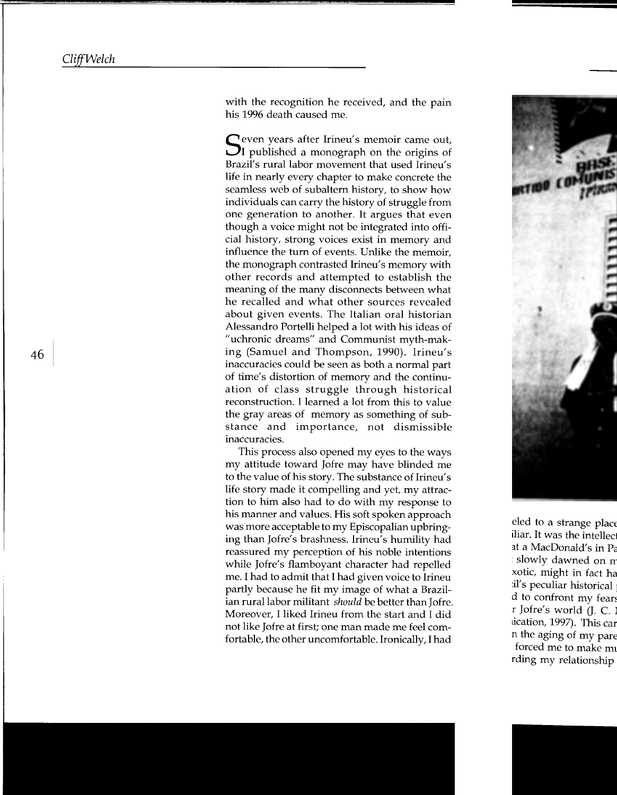with the recognition he received, and the pain his 1996 death caused me.

 $\mathbb C$  even years after Irineu's memoir came out,  $\mathbf{U}$  published a monograph on the origins of Brazil's rural labor movement that used Irineu's life in nearly every chapter to make concrete the seamless web of subaltern history, to show how individuals can carry the history of struggle from one generation to another. It argues that even though a voice might not be integrated into official history, strong voices exist in memory and influence the turn of events. Unlike the memoir, the monograph contrasted Irineu's memory with other records and attempted to establish the meaning of the many disconnects between what he recalled and what other sources revealed about given events. The Italian oral historian Alessandro Portelli helped a lot with his ideas of "uchronic dreams" and Communist myth-making (Samuel and Thompson, 1990). Irineu's inaccuracies could be seen as both a normal part of time's distortion of memory and the continuation of class struggle through historical reconstruction. I learned a lot from this to value the gray areas of memory as something of substance and importance, not dismissible inaccuracies.

This process also opened my eyes to the ways my attitude toward Jofre may have blinded me to the value of his story. The substance of Irineu's life story made it compelling and yet, my attraction to him also had to do with my response to his manner and values. His soft spoken approach was more acceptable to my Episcopalian upbringing than Jofre's brashness. Irineu's humility had reassured my perception of his noble intentions while Jofre's flamboyant character had repelled me. I had to admit that I had given voice to Irineu partly because he fit my image of what a Brazilian rural labor militant *should* be better than Jofre. Moreover, I liked Irineu from the start and I did not like Jofre at first; one man made me feel comfortable, the other uncomfortable. Ironically, I had

46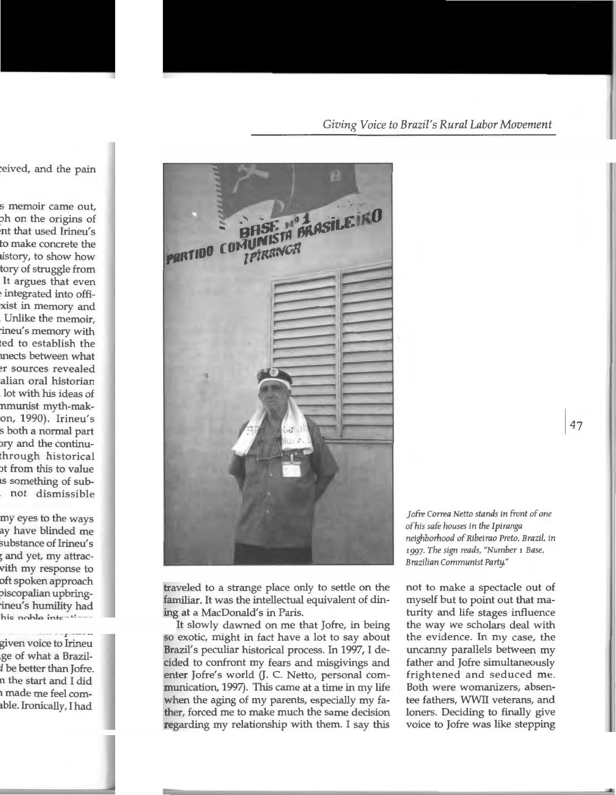Giving Voice to Brazil's Rural Labor Movement



traveled to a strange place only to settle on the familiar. It was the intellectual equivalent of dining at a MacDonald's in Paris.

It slowly dawned on me that Jofre, in being so exotic, might in fact have a lot to say about Brazil's peculiar historical process. In 1997, I decided to confront my fears and misgivings and enter Jofre's world (J. C. Netto, personal communication, 1997). This came at a time in my life when the aging of my parents, especially my father, forced me to make much the same decision regarding my relationship with them. I say this Jofre Correa Netto stands in front of one of his safe houses in the Ipiranga neighborhood of Ribeirao Preto, Brazil, in 1997. The sign reads, "Number 1 Base, Brazilian Communist Party."

not to make a spectacle out of myself but to point out that maturity and life stages influence the way we scholars deal with the evidence. In my case, the uncanny parallels between my father and Jofre simultaneously frightened and seduced me. Both were womanizers, absentee fathers, WWII veterans, and loners. Deciding to finally give voice to Jofre was like stepping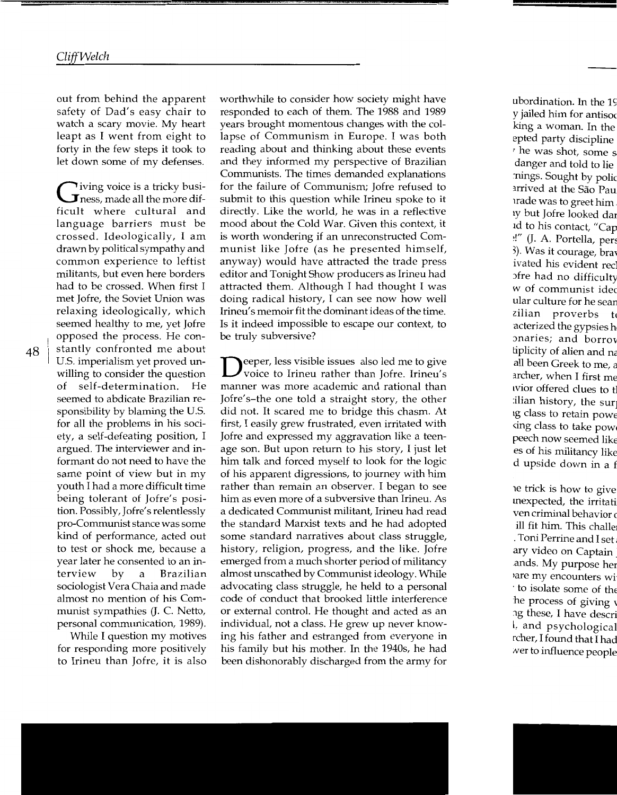out from behind the apparent safety of Dad's easy chair to watch a scary movie. My heart leapt as I went from eight to forty in the few steps it took to let down some of my defenses.

Tiving voice is a tricky busi- $\mathbf J$ ness, made all the more difficult where cultural and language barriers must be crossed. Ideologically, I am drawn by political sympathy and common experience to leftist militants, but even here borders had to be crossed. When first I met Jofre, the Soviet Union was relaxing ideologically, which seemed healthy to me, yet Jofre opposed the process. He constantly confronted me about U.S. imperialism yet proved unwilling to consider the question of self-determination. He seemed to abdicate Brazilian responsibility by blaming the U.S. for all the problems in his society, a self-defeating position, I argued. The interviewer and informant do not need to have the same point of view but in my youth I had a more difficult time being tolerant of Jofre's position. Possibly, Jofre's relentlessly pro-Communist stance was some kind of performance, acted out to test or shock me, because a year later he consented to an interview by a Brazilian sociologist Vera Chaia and made almost no mention of his Communist sympathies (J. C. Netto, personal communication, 1989).

While I question my motives for responding more positively to Irineu than Jofre, it is also worthwhile to consider how society might have responded to each of them. The 1988 and 1989 years brought momentous changes with the collapse of Communism in Europe. I was both reading about and thinking about these events and they informed my perspective of Brazilian Communists. The times demanded explanations for the failure of Communism; Jofre refused to submit to this question while Irineu spoke to it directly. Like the world, he was in a reflective mood about the Cold War. Given this context, it is worth wondering if an unreconstructed Communist like Jofre (as he presented himself, anyway) would have attracted the trade press editor and Tonight Show producers as Irineu had attracted them. Although I had thought I was doing radical history, I can see now how well Irineu' s memoir fit the dominant ideas of the time. Is it indeed impossible to escape our context, to be truly subversive?

eeper, less visible issues also led me to give voice to Irineu rather than Jofre. Irineu's manner was more academic and rational than Jofre's-the one told a straight story, the other did not. It scared me to bridge this chasm. At first, I easily grew frustrated, even irritated with Jofre and expressed my aggravation like a teenage son. But upon return to his story, I just let him talk and forced myself to look for the logic of his apparent digressions, to journey with him rather than remain an observer. I began to see him as even more of a subversive than Irineu. As a dedicated Communist militant, Irineu had read the standard Marxist texts and he had adopted some standard narratives about class struggle, history, religion, progress, and the like. Jofre emerged from a much shorter period of militancy almost unscathed by Communist ideology. While advocating class struggle, he held to a personal code of conduct that brooked little interference or external control. He thought and acted as an individual, not a class. He grew up never knowing his father and estranged from everyone in his family but his mother. In the 1940s, he had been dishonorably discharged from the army for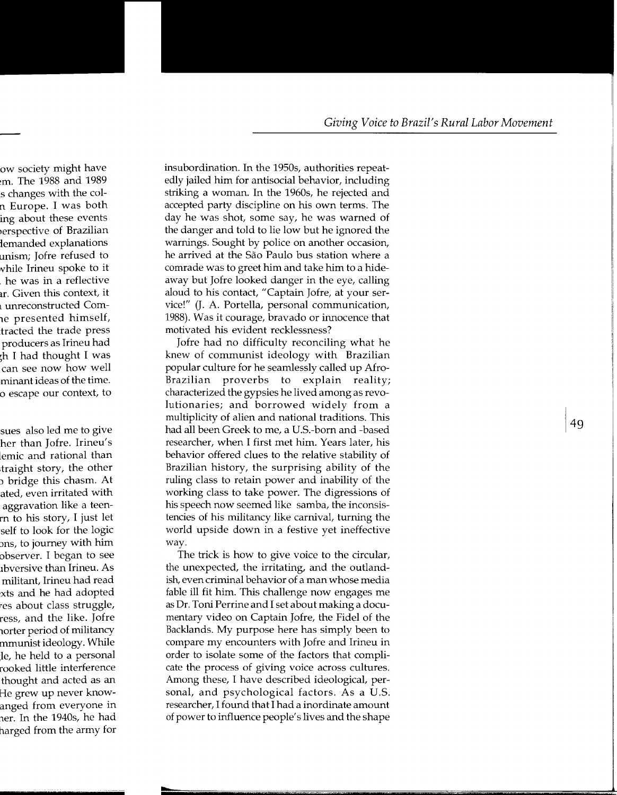insubordination. In the 1950s, authorities repeatedly jailed him for antisocial behavior, including striking a woman. In the 1960s, he rejected and accepted party discipline on his own terms. The day he was shot, some say, he was warned of the danger and told to lie low but he ignored the warnings. Sought by police on another occasion, he arrived at the São Paulo bus station where a comrade was to greet him and take him to a hideaway but Jofre looked danger in the eye, calling aloud to his contact, "Captain Jofre, at your service!" (J. A. Portella, personal communication, 1988). Was it courage, bravado or innocence that motivated his evident recklessness?

Jofre had no difficulty reconciling what he knew of communist ideology with Brazilian popular culture for he seamlessly called up Afro-Brazilian proverbs to explain reality; characterized the gypsies he lived among as revolutionaries; and borrowed widely from a multiplicity of alien and national traditions. This had all been Greek to me, a U.S.-born and -based researcher, when I first met him. Years later, his behavior offered clues to the relative stability of Brazilian history, the surprising ability of the ruling class to retain power and inability of the working class to take power. The digressions of his speech now seemed like samba, the inconsistencies of his militancy like carnival, turning the world upside down in a festive yet ineffective way.

The trick is how to give voice to the circular, the unexpected, the irritating, and the outlandish, even criminal behavior of a man whose media fable ill fit him. This challenge now engages me as Dr. Toni Perrine and I set about making a documentary video on Captain Jofre, the Fidel of the Backlands. My purpose here has simply been to compare my encounters with Jofre and Irineu in order to isolate some of the factors that complicate the process of giving voice across cultures. Among these, I have described ideological, personal, and psychological factors. As a U.S. researcher, I found that I had a inordinate amount of power to influence people's lives and the shape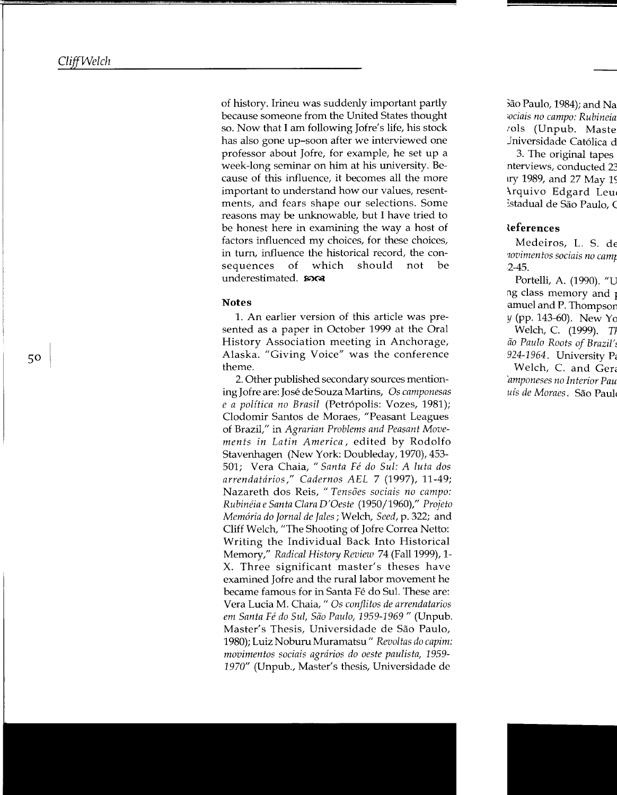of history. Irineu was suddenly important partly because someone from the United States thought so. Now that I am following Jofre's life, his stock has also gone up-soon after we interviewed one professor about Jofre, for example, he set up a week-long seminar on him at his university. Because of this influence, it becomes all the more important to understand how our values, resentments, and fears shape our selections. Some reasons may be unknowable, but I have tried to be honest here in examining the way a host of factors influenced my choices, for these choices, in turn, influence the historical record, the consequences of which should not be underestimated.  $\omega \propto$ 

#### **Notes**

1. An earlier version of this article was presented as a paper in October 1999 at the Oral History Association meeting in Anchorage, Alaska. "Giving Voice" was the conference theme.

2. Other published secondary sources mentioning Jofre are: Jose de Souza Martins, Os *camponesas e a politica no Brasil* (Petr6polis: Vozes, 1981 ); Clodomir Santos de Moraes, "Peasant Leagues of Brazil," in *Agrarian Problems and Peasant Movements in Latin America,* edited by Rodolfo Stavenhagen (New York: Doubleday, 1970), 453- 501; Vera Chaia, *"Santa Fe do Sui: A luta dos arrendatririos," Cadernos AEL* 7 (1997), 11-49; Nazareth dos Reis, *"Tensoes sociais no campo: Rubineia e Santa Clara D'Oeste* (1950/1960)," *Projeto Memoria do Jornal de Jales;* Welch, *Seed,* p. 322; and Cliff Welch, "The Shooting of Jofre Correa Netto: Writing the Individual Back Into Historical Memory," *Radical History Review 74* (Fall 1999), 1-X. Three significant master's theses have examined Jofre and the rural labor movement he became famous for in Santa Fé do Sul. These are: Vera Lucia M. Chaia," Os *conjlitos de arrendatarios em Santa Fe do Sui, Sao Paulo, 1959-1969"* (Unpub. Master's Thesis, Universidade de Sao Paulo, 1980); Luiz Noburu Muramatsu" *Revoltas do capim: movimentos sociais agrririos do oeste paulista, 1959- 1970"* (Unpub., Master's thesis, Universidade de